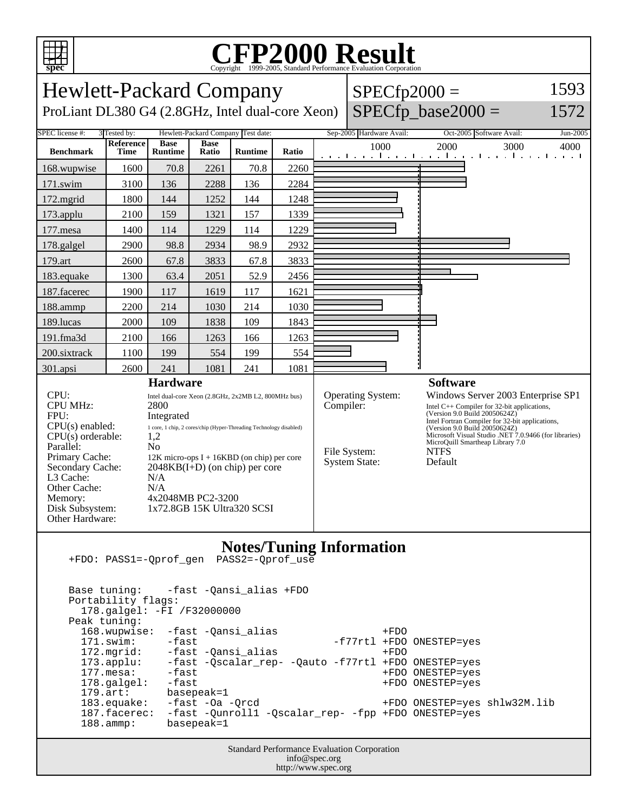

## C<sub>opyright</sub> ©1999-2005, Standard Performance Evaluation Corporation

| 1593<br><b>Hewlett-Packard Company</b><br>$SPECfp2000 =$<br>$SPECfp\_base2000 =$<br>ProLiant DL380 G4 (2.8GHz, Intel dual-core Xeon)<br>1572                                                               |                   |                                                                                                                                                                                                                                                                                                                                                  |                      |                |       |  |                                                                        |                                                                                                                                                                                                                                                                                                                                                  |       |
|------------------------------------------------------------------------------------------------------------------------------------------------------------------------------------------------------------|-------------------|--------------------------------------------------------------------------------------------------------------------------------------------------------------------------------------------------------------------------------------------------------------------------------------------------------------------------------------------------|----------------------|----------------|-------|--|------------------------------------------------------------------------|--------------------------------------------------------------------------------------------------------------------------------------------------------------------------------------------------------------------------------------------------------------------------------------------------------------------------------------------------|-------|
| Sep-2005 Hardware Avail:<br>SPEC license #:<br>3 Tested by:<br>Hewlett-Packard Company Test date:<br>Oct-2005 Software Avail:<br>Jun-2005                                                                  |                   |                                                                                                                                                                                                                                                                                                                                                  |                      |                |       |  |                                                                        |                                                                                                                                                                                                                                                                                                                                                  |       |
| <b>Benchmark</b>                                                                                                                                                                                           | Reference<br>Time | <b>Base</b><br><b>Runtime</b>                                                                                                                                                                                                                                                                                                                    | <b>Base</b><br>Ratio | <b>Runtime</b> | Ratio |  | 1000                                                                   | 2000<br>3000<br>المتواطن وماجره والمتواصل والمتوج المتوجا والمراقب                                                                                                                                                                                                                                                                               | 4000- |
| 168.wupwise                                                                                                                                                                                                | 1600              | 70.8                                                                                                                                                                                                                                                                                                                                             | 2261                 | 70.8           | 2260  |  |                                                                        |                                                                                                                                                                                                                                                                                                                                                  |       |
| 171.swim                                                                                                                                                                                                   | 3100              | 136                                                                                                                                                                                                                                                                                                                                              | 2288                 | 136            | 2284  |  |                                                                        |                                                                                                                                                                                                                                                                                                                                                  |       |
| 172.mgrid                                                                                                                                                                                                  | 1800              | 144                                                                                                                                                                                                                                                                                                                                              | 1252                 | 144            | 1248  |  |                                                                        |                                                                                                                                                                                                                                                                                                                                                  |       |
| 173.applu                                                                                                                                                                                                  | 2100              | 159                                                                                                                                                                                                                                                                                                                                              | 1321                 | 157            | 1339  |  |                                                                        |                                                                                                                                                                                                                                                                                                                                                  |       |
| 177.mesa                                                                                                                                                                                                   | 1400              | 114                                                                                                                                                                                                                                                                                                                                              | 1229                 | 114            | 1229  |  |                                                                        |                                                                                                                                                                                                                                                                                                                                                  |       |
| 178.galgel                                                                                                                                                                                                 | 2900              | 98.8                                                                                                                                                                                                                                                                                                                                             | 2934                 | 98.9           | 2932  |  |                                                                        |                                                                                                                                                                                                                                                                                                                                                  |       |
| 179.art                                                                                                                                                                                                    | 2600              | 67.8                                                                                                                                                                                                                                                                                                                                             | 3833                 | 67.8           | 3833  |  |                                                                        |                                                                                                                                                                                                                                                                                                                                                  |       |
| 183.equake                                                                                                                                                                                                 | 1300              | 63.4                                                                                                                                                                                                                                                                                                                                             | 2051                 | 52.9           | 2456  |  |                                                                        |                                                                                                                                                                                                                                                                                                                                                  |       |
| 187.facerec                                                                                                                                                                                                | 1900              | 117                                                                                                                                                                                                                                                                                                                                              | 1619                 | 117            | 1621  |  |                                                                        |                                                                                                                                                                                                                                                                                                                                                  |       |
| 188.ammp                                                                                                                                                                                                   | 2200              | 214                                                                                                                                                                                                                                                                                                                                              | 1030                 | 214            | 1030  |  |                                                                        |                                                                                                                                                                                                                                                                                                                                                  |       |
| 189.lucas                                                                                                                                                                                                  | 2000              | 109                                                                                                                                                                                                                                                                                                                                              | 1838                 | 109            | 1843  |  |                                                                        |                                                                                                                                                                                                                                                                                                                                                  |       |
| 191.fma3d                                                                                                                                                                                                  | 2100              | 166                                                                                                                                                                                                                                                                                                                                              | 1263                 | 166            | 1263  |  |                                                                        |                                                                                                                                                                                                                                                                                                                                                  |       |
| 200.sixtrack                                                                                                                                                                                               | 1100              | 199                                                                                                                                                                                                                                                                                                                                              | 554                  | 199            | 554   |  |                                                                        |                                                                                                                                                                                                                                                                                                                                                  |       |
| 301.apsi                                                                                                                                                                                                   | 2600              | 241                                                                                                                                                                                                                                                                                                                                              | 1081                 | 241            | 1081  |  |                                                                        |                                                                                                                                                                                                                                                                                                                                                  |       |
| CPU:<br><b>CPU MHz:</b><br>FPU:<br>$CPU(s)$ enabled:<br>CPU(s) orderable:<br>Parallel:<br>Primary Cache:<br>Secondary Cache:<br>L3 Cache:<br>Other Cache:<br>Memory:<br>Disk Subsystem:<br>Other Hardware: |                   | <b>Hardware</b><br>Intel dual-core Xeon (2.8GHz, 2x2MB L2, 800MHz bus)<br>2800<br>Integrated<br>1 core, 1 chip, 2 cores/chip (Hyper-Threading Technology disabled)<br>1,2<br>N <sub>0</sub><br>12K micro-ops $I + 16KBD$ (on chip) per core<br>$2048KB(I+D)$ (on chip) per core<br>N/A<br>N/A<br>4x2048MB PC2-3200<br>1x72.8GB 15K Ultra320 SCSI |                      |                |       |  | Operating System:<br>Compiler:<br>File System:<br><b>System State:</b> | <b>Software</b><br>Windows Server 2003 Enterprise SP1<br>Intel C++ Compiler for 32-bit applications,<br>(Version 9.0 Build 20050624Z)<br>Intel Fortran Compiler for 32-bit applications,<br>(Version 9.0 Build 20050624Z)<br>Microsoft Visual Studio .NET 7.0.9466 (for libraries)<br>MicroQuill Smartheap Library 7.0<br><b>NTFS</b><br>Default |       |
| <b>Notes/Tuning Information</b><br>PASS2=-Qprof_use<br>+FDO: PASS1=-Qprof_gen                                                                                                                              |                   |                                                                                                                                                                                                                                                                                                                                                  |                      |                |       |  |                                                                        |                                                                                                                                                                                                                                                                                                                                                  |       |

 Base tuning: -fast -Qansi\_alias +FDO Portability flags: 178.galgel: -FI /F32000000 Peak tuning: 168.wupwise: -fast -Qansi\_alias +FDO<br>171.swim: -fast -cansi\_alias -f77rtl +FDO -f77rtl +FDO ONESTEP=yes 172.mgrid: -fast -Qansi\_alias +FDO 173.applu: -fast -Qscalar\_rep- -Qauto -f77rtl +FDO ONESTEP=yes 177.mesa: -fast +FDO ONESTEP=yes 178.galgel: -fast +FDO ONESTEP=yes<br>179.art: basepeak=1 basepeak=1 183.equake: -fast -Oa -Qrcd +FDO ONESTEP=yes shlw32M.lib 187.facerec: -fast -Qunroll1 -Qscalar\_rep- -fpp +FDO ONESTEP=yes 188.ammp: basepeak=1

> Standard Performance Evaluation Corporation info@spec.org http://www.spec.org